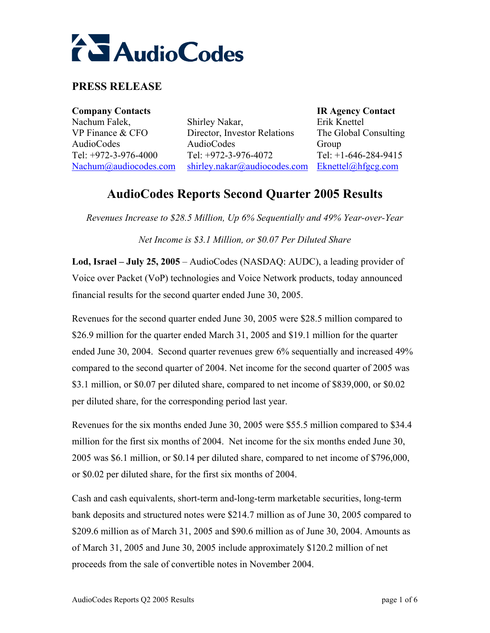# **AudioCodes**

## **PRESS RELEASE**

Nachum Falek, VP Finance & CFO AudioCodes Tel: +972-3-976-4000 Nachum@audiocodes.com

Shirley Nakar, Director, Investor Relations AudioCodes Tel: +972-3-976-4072 shirley.nakar@audiocodes.com Eknettel@hfgcg.com

**Company Contacts IR Agency Contact**  Erik Knettel The Global Consulting Group Tel: +1-646-284-9415

## **AudioCodes Reports Second Quarter 2005 Results**

*Revenues Increase to \$28.5 Million, Up 6% Sequentially and 49% Year-over-Year* 

*Net Income is \$3.1 Million, or \$0.07 Per Diluted Share* 

**Lod, Israel – July 25, 2005** – AudioCodes (NASDAQ: AUDC), a leading provider of Voice over Packet (VoP) technologies and Voice Network products, today announced financial results for the second quarter ended June 30, 2005.

Revenues for the second quarter ended June 30, 2005 were \$28.5 million compared to \$26.9 million for the quarter ended March 31, 2005 and \$19.1 million for the quarter ended June 30, 2004. Second quarter revenues grew 6% sequentially and increased 49% compared to the second quarter of 2004. Net income for the second quarter of 2005 was \$3.1 million, or \$0.07 per diluted share, compared to net income of \$839,000, or \$0.02 per diluted share, for the corresponding period last year.

Revenues for the six months ended June 30, 2005 were \$55.5 million compared to \$34.4 million for the first six months of 2004. Net income for the six months ended June 30, 2005 was \$6.1 million, or \$0.14 per diluted share, compared to net income of \$796,000, or \$0.02 per diluted share, for the first six months of 2004.

Cash and cash equivalents, short-term and-long-term marketable securities, long-term bank deposits and structured notes were \$214.7 million as of June 30, 2005 compared to \$209.6 million as of March 31, 2005 and \$90.6 million as of June 30, 2004. Amounts as of March 31, 2005 and June 30, 2005 include approximately \$120.2 million of net proceeds from the sale of convertible notes in November 2004.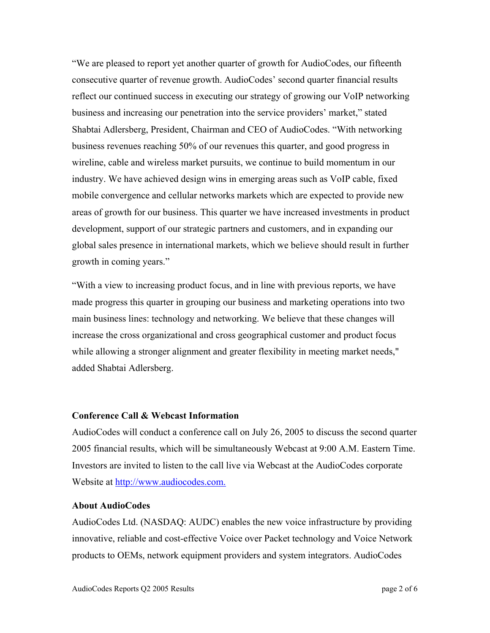ìWe are pleased to report yet another quarter of growth for AudioCodes, our fifteenth consecutive quarter of revenue growth. AudioCodes' second quarter financial results reflect our continued success in executing our strategy of growing our VoIP networking business and increasing our penetration into the service providers' market," stated Shabtai Adlersberg, President, Chairman and CEO of AudioCodes. "With networking business revenues reaching 50% of our revenues this quarter, and good progress in wireline, cable and wireless market pursuits, we continue to build momentum in our industry. We have achieved design wins in emerging areas such as VoIP cable, fixed mobile convergence and cellular networks markets which are expected to provide new areas of growth for our business. This quarter we have increased investments in product development, support of our strategic partners and customers, and in expanding our global sales presence in international markets, which we believe should result in further growth in coming years."

ìWith a view to increasing product focus, and in line with previous reports, we have made progress this quarter in grouping our business and marketing operations into two main business lines: technology and networking. We believe that these changes will increase the cross organizational and cross geographical customer and product focus while allowing a stronger alignment and greater flexibility in meeting market needs," added Shabtai Adlersberg.

#### **Conference Call & Webcast Information**

AudioCodes will conduct a conference call on July 26, 2005 to discuss the second quarter 2005 financial results, which will be simultaneously Webcast at 9:00 A.M. Eastern Time. Investors are invited to listen to the call live via Webcast at the AudioCodes corporate Website at http://www.audiocodes.com.

#### **About AudioCodes**

AudioCodes Ltd. (NASDAQ: AUDC) enables the new voice infrastructure by providing innovative, reliable and cost-effective Voice over Packet technology and Voice Network products to OEMs, network equipment providers and system integrators. AudioCodes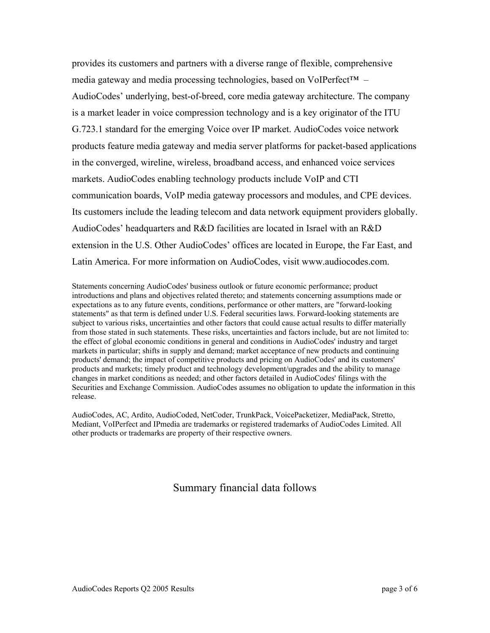provides its customers and partners with a diverse range of flexible, comprehensive media gateway and media processing technologies, based on VoIPerfect<sup> $TM$ </sup> – AudioCodes' underlying, best-of-breed, core media gateway architecture. The company is a market leader in voice compression technology and is a key originator of the ITU G.723.1 standard for the emerging Voice over IP market. AudioCodes voice network products feature media gateway and media server platforms for packet-based applications in the converged, wireline, wireless, broadband access, and enhanced voice services markets. AudioCodes enabling technology products include VoIP and CTI communication boards, VoIP media gateway processors and modules, and CPE devices. Its customers include the leading telecom and data network equipment providers globally. AudioCodes' headquarters and R&D facilities are located in Israel with an R&D extension in the U.S. Other AudioCodes' offices are located in Europe, the Far East, and Latin America. For more information on AudioCodes, visit www.audiocodes.com.

Statements concerning AudioCodes' business outlook or future economic performance; product introductions and plans and objectives related thereto; and statements concerning assumptions made or expectations as to any future events, conditions, performance or other matters, are "forward-looking statements" as that term is defined under U.S. Federal securities laws. Forward-looking statements are subject to various risks, uncertainties and other factors that could cause actual results to differ materially from those stated in such statements. These risks, uncertainties and factors include, but are not limited to: the effect of global economic conditions in general and conditions in AudioCodes' industry and target markets in particular; shifts in supply and demand; market acceptance of new products and continuing products' demand; the impact of competitive products and pricing on AudioCodes' and its customers' products and markets; timely product and technology development/upgrades and the ability to manage changes in market conditions as needed; and other factors detailed in AudioCodes' filings with the Securities and Exchange Commission. AudioCodes assumes no obligation to update the information in this release.

AudioCodes, AC, Ardito, AudioCoded, NetCoder, TrunkPack, VoicePacketizer, MediaPack, Stretto, Mediant, VoIPerfect and IPmedia are trademarks or registered trademarks of AudioCodes Limited. All other products or trademarks are property of their respective owners.

Summary financial data follows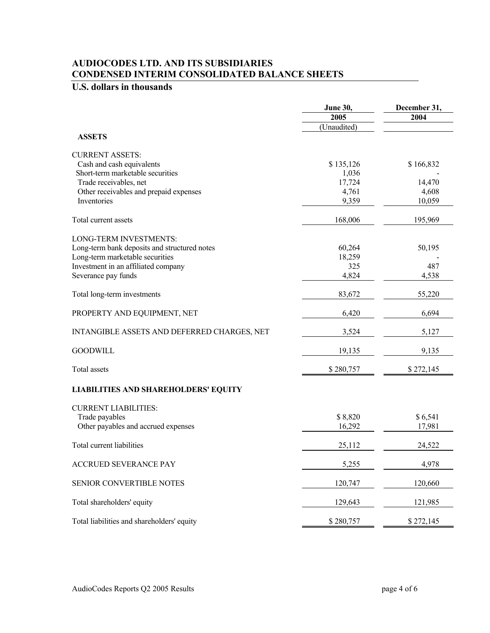#### **AUDIOCODES LTD. AND ITS SUBSIDIARIES CONDENSED INTERIM CONSOLIDATED BALANCE SHEETS**

### **U.S. dollars in thousands**

|                                              | <b>June 30,</b><br>2005 | December 31,<br>2004 |  |
|----------------------------------------------|-------------------------|----------------------|--|
|                                              | (Unaudited)             |                      |  |
| <b>ASSETS</b>                                |                         |                      |  |
| <b>CURRENT ASSETS:</b>                       |                         |                      |  |
| Cash and cash equivalents                    | \$135,126               | \$166,832            |  |
| Short-term marketable securities             | 1,036                   |                      |  |
| Trade receivables, net                       | 17,724                  | 14,470               |  |
| Other receivables and prepaid expenses       | 4,761                   | 4,608                |  |
| Inventories                                  | 9,359                   | 10,059               |  |
| Total current assets                         | 168,006                 | 195,969              |  |
| LONG-TERM INVESTMENTS:                       |                         |                      |  |
| Long-term bank deposits and structured notes | 60,264                  | 50,195               |  |
| Long-term marketable securities              | 18,259                  |                      |  |
| Investment in an affiliated company          | 325                     | 487                  |  |
| Severance pay funds                          | 4,824                   | 4,538                |  |
| Total long-term investments                  | 83,672                  | 55,220               |  |
| PROPERTY AND EQUIPMENT, NET                  | 6,420                   | 6,694                |  |
| INTANGIBLE ASSETS AND DEFERRED CHARGES, NET  | 3,524                   | 5,127                |  |
| <b>GOODWILL</b>                              | 19,135                  | 9,135                |  |
| Total assets                                 | \$280,757               | \$272,145            |  |
| <b>LIABILITIES AND SHAREHOLDERS' EQUITY</b>  |                         |                      |  |
| <b>CURRENT LIABILITIES:</b>                  |                         |                      |  |
| Trade payables                               | \$8,820                 | \$6,541              |  |
| Other payables and accrued expenses          | 16,292                  | 17,981               |  |
| Total current liabilities                    | 25,112                  | 24,522               |  |
| <b>ACCRUED SEVERANCE PAY</b>                 | 5,255                   | 4,978                |  |
|                                              |                         |                      |  |
| SENIOR CONVERTIBLE NOTES                     | 120,747                 | 120,660              |  |
| Total shareholders' equity                   | 129,643                 | 121,985              |  |
| Total liabilities and shareholders' equity   | \$280,757               | \$272,145            |  |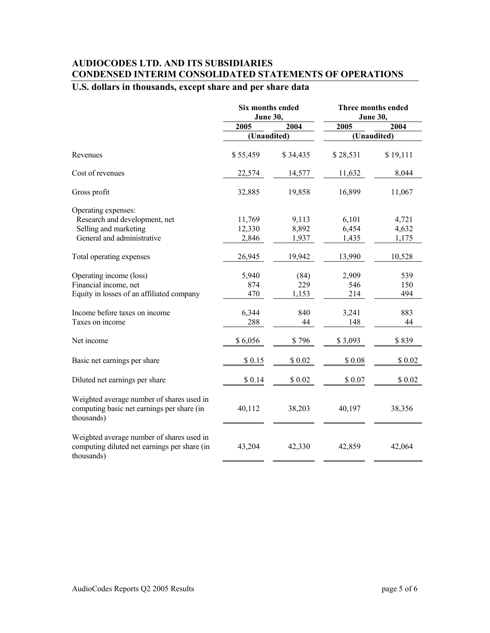#### **AUDIOCODES LTD. AND ITS SUBSIDIARIES CONDENSED INTERIM CONSOLIDATED STATEMENTS OF OPERATIONS**

### **U.S. dollars in thousands, except share and per share data**

|                                                                                                         | Six months ended<br><b>June 30,</b> |          | Three months ended<br><b>June 30,</b> |          |  |
|---------------------------------------------------------------------------------------------------------|-------------------------------------|----------|---------------------------------------|----------|--|
|                                                                                                         | 2005                                | 2004     | 2005                                  | 2004     |  |
|                                                                                                         | (Unaudited)                         |          | (Unaudited)                           |          |  |
| Revenues                                                                                                | \$55,459                            | \$34,435 | \$28,531                              | \$19,111 |  |
| Cost of revenues                                                                                        | 22,574                              | 14,577   | 11,632                                | 8,044    |  |
| Gross profit                                                                                            | 32,885                              | 19,858   | 16,899                                | 11,067   |  |
| Operating expenses:                                                                                     |                                     |          |                                       |          |  |
| Research and development, net                                                                           | 11,769                              | 9,113    | 6,101                                 | 4,721    |  |
| Selling and marketing                                                                                   | 12,330                              | 8,892    | 6,454                                 | 4,632    |  |
| General and administrative                                                                              | 2,846                               | 1,937    | 1,435                                 | 1,175    |  |
| Total operating expenses                                                                                | 26,945                              | 19,942   | 13,990                                | 10,528   |  |
| Operating income (loss)                                                                                 | 5,940                               | (84)     | 2,909                                 | 539      |  |
| Financial income, net                                                                                   | 874                                 | 229      | 546                                   | 150      |  |
| Equity in losses of an affiliated company                                                               | 470                                 | 1,153    | 214                                   | 494      |  |
| Income before taxes on income                                                                           | 6,344                               | 840      | 3,241                                 | 883      |  |
| Taxes on income                                                                                         | 288                                 | 44       | 148                                   | 44       |  |
| Net income                                                                                              | \$6,056                             | \$796    | \$3,093                               | \$839    |  |
| Basic net earnings per share                                                                            | \$0.15                              | \$0.02   | $$0.08$                               | \$ 0.02  |  |
| Diluted net earnings per share                                                                          | \$0.14                              | \$0.02   | \$0.07                                | \$ 0.02  |  |
| Weighted average number of shares used in<br>computing basic net earnings per share (in<br>thousands)   | 40,112                              | 38,203   | 40,197                                | 38,356   |  |
| Weighted average number of shares used in<br>computing diluted net earnings per share (in<br>thousands) | 43,204                              | 42,330   | 42,859                                | 42,064   |  |